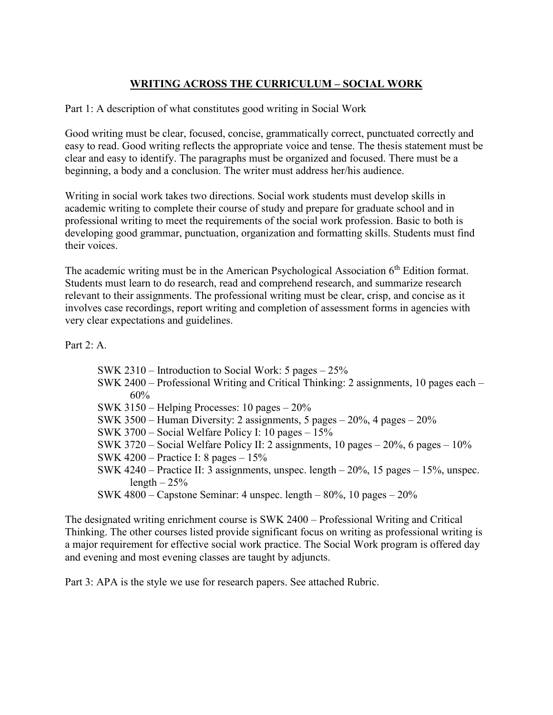## **WRITING ACROSS THE CURRICULUM – SOCIAL WORK**

Part 1: A description of what constitutes good writing in Social Work

Good writing must be clear, focused, concise, grammatically correct, punctuated correctly and easy to read. Good writing reflects the appropriate voice and tense. The thesis statement must be clear and easy to identify. The paragraphs must be organized and focused. There must be a beginning, a body and a conclusion. The writer must address her/his audience.

Writing in social work takes two directions. Social work students must develop skills in academic writing to complete their course of study and prepare for graduate school and in professional writing to meet the requirements of the social work profession. Basic to both is developing good grammar, punctuation, organization and formatting skills. Students must find their voices.

The academic writing must be in the American Psychological Association  $6<sup>th</sup>$  Edition format. Students must learn to do research, read and comprehend research, and summarize research relevant to their assignments. The professional writing must be clear, crisp, and concise as it involves case recordings, report writing and completion of assessment forms in agencies with very clear expectations and guidelines.

Part  $2 \cdot A$ 

| SWK 2310 – Introduction to Social Work: 5 pages $-25\%$ |
|---------------------------------------------------------|
|---------------------------------------------------------|

- SWK 2400 Professional Writing and Critical Thinking: 2 assignments, 10 pages each 60%
- SWK 3150 Helping Processes: 10 pages 20%
- SWK 3500 Human Diversity: 2 assignments, 5 pages  $20\%$ , 4 pages  $20\%$
- SWK 3700 Social Welfare Policy I: 10 pages 15%
- SWK 3720 Social Welfare Policy II: 2 assignments, 10 pages  $20\%$ , 6 pages  $10\%$
- SWK 4200 Practice I: 8 pages  $15\%$
- SWK 4240 Practice II: 3 assignments, unspec. length 20%, 15 pages 15%, unspec. length  $-25%$
- SWK 4800 Capstone Seminar: 4 unspec. length 80%, 10 pages 20%

The designated writing enrichment course is SWK 2400 – Professional Writing and Critical Thinking. The other courses listed provide significant focus on writing as professional writing is a major requirement for effective social work practice. The Social Work program is offered day and evening and most evening classes are taught by adjuncts.

Part 3: APA is the style we use for research papers. See attached Rubric.